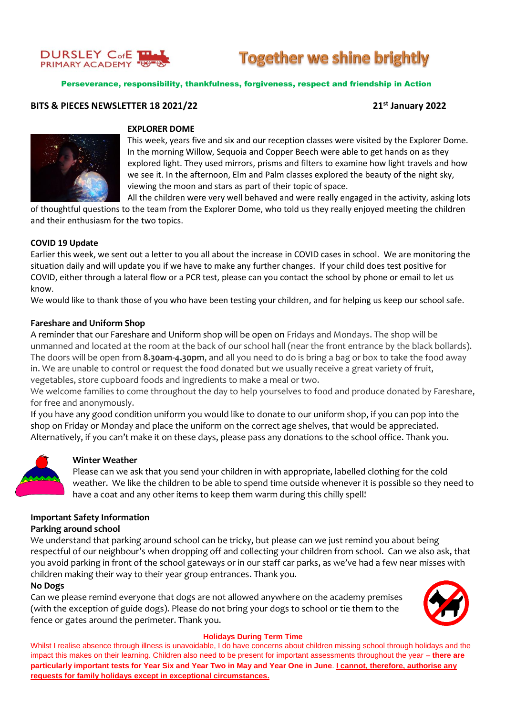

# **Together we shine brightly**

Perseverance, responsibility, thankfulness, forgiveness, respect and friendship in Action

# **BITS & PIECES NEWSLETTER 18 2021/22 21st January 2022**



# **EXPLORER DOME**

This week, years five and six and our reception classes were visited by the Explorer Dome. In the morning Willow, Sequoia and Copper Beech were able to get hands on as they explored light. They used mirrors, prisms and filters to examine how light travels and how we see it. In the afternoon, Elm and Palm classes explored the beauty of the night sky, viewing the moon and stars as part of their topic of space.

All the children were very well behaved and were really engaged in the activity, asking lots

of thoughtful questions to the team from the Explorer Dome, who told us they really enjoyed meeting the children and their enthusiasm for the two topics.

# **COVID 19 Update**

Earlier this week, we sent out a letter to you all about the increase in COVID cases in school. We are monitoring the situation daily and will update you if we have to make any further changes. If your child does test positive for COVID, either through a lateral flow or a PCR test, please can you contact the school by phone or email to let us know.

We would like to thank those of you who have been testing your children, and for helping us keep our school safe.

# **Fareshare and Uniform Shop**

A reminder that our Fareshare and Uniform shop will be open on Fridays and Mondays. The shop will be unmanned and located at the room at the back of our school hall (near the front entrance by the black bollards). The doors will be open from **8.30am-4.30pm**, and all you need to do is bring a bag or box to take the food away in. We are unable to control or request the food donated but we usually receive a great variety of fruit, vegetables, store cupboard foods and ingredients to make a meal or two.

We welcome families to come throughout the day to help yourselves to food and produce donated by Fareshare, for free and anonymously.

If you have any good condition uniform you would like to donate to our uniform shop, if you can pop into the shop on Friday or Monday and place the uniform on the correct age shelves, that would be appreciated. Alternatively, if you can't make it on these days, please pass any donations to the school office. Thank you.



# **Winter Weather**

Please can we ask that you send your children in with appropriate, labelled clothing for the cold weather. We like the children to be able to spend time outside whenever it is possible so they need to have a coat and any other items to keep them warm during this chilly spell!

# **Important Safety Information**

# **Parking around school**

We understand that parking around school can be tricky, but please can we just remind you about being respectful of our neighbour's when dropping off and collecting your children from school. Can we also ask, that you avoid parking in front of the school gateways or in our staff car parks, as we've had a few near misses with children making their way to their year group entrances. Thank you.

# **No Dogs**

Can we please remind everyone that dogs are not allowed anywhere on the academy premises (with the exception of guide dogs). Please do not bring your dogs to school or tie them to the fence or gates around the perimeter. Thank you.



### **Holidays During Term Time**

Whilst I realise absence through illness is unavoidable, I do have concerns about children missing school through holidays and the impact this makes on their learning. Children also need to be present for important assessments throughout the year – **there are particularly important tests for Year Six and Year Two in May and Year One in June**. **I cannot, therefore, authorise any requests for family holidays except in exceptional circumstances.**